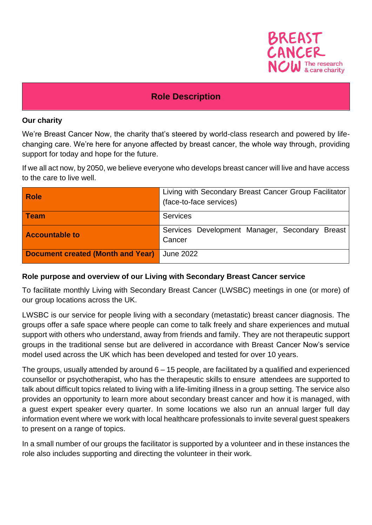

## **Role Description**

#### **Our charity**

We're Breast Cancer Now, the charity that's steered by world-class research and powered by lifechanging care. We're here for anyone affected by breast cancer, the whole way through, providing support for today and hope for the future.

If we all act now, by 2050, we believe everyone who develops breast cancer will live and have access to the care to live well.

| <b>Role</b>                              | Living with Secondary Breast Cancer Group Facilitator<br>(face-to-face services) |
|------------------------------------------|----------------------------------------------------------------------------------|
| <b>Team</b>                              | <b>Services</b>                                                                  |
| <b>Accountable to</b>                    | Services Development Manager, Secondary Breast<br>Cancer                         |
| <b>Document created (Month and Year)</b> | June 2022                                                                        |

#### **Role purpose and overview of our Living with Secondary Breast Cancer service**

To facilitate monthly Living with Secondary Breast Cancer (LWSBC) meetings in one (or more) of our group locations across the UK.

LWSBC is our service for people living with a secondary (metastatic) breast cancer diagnosis. The groups offer a safe space where people can come to talk freely and share experiences and mutual support with others who understand, away from friends and family. They are not therapeutic support groups in the traditional sense but are delivered in accordance with Breast Cancer Now's service model used across the UK which has been developed and tested for over 10 years.

The groups, usually attended by around 6 – 15 people, are facilitated by a qualified and experienced counsellor or psychotherapist, who has the therapeutic skills to ensure attendees are supported to talk about difficult topics related to living with a life-limiting illness in a group setting. The service also provides an opportunity to learn more about secondary breast cancer and how it is managed, with a guest expert speaker every quarter. In some locations we also run an annual larger full day information event where we work with local healthcare professionals to invite several guest speakers to present on a range of topics.

In a small number of our groups the facilitator is supported by a volunteer and in these instances the role also includes supporting and directing the volunteer in their work.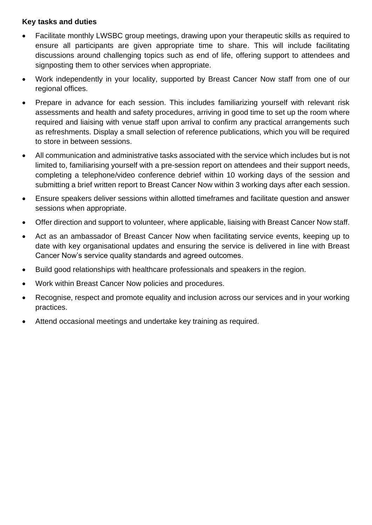### **Key tasks and duties**

- Facilitate monthly LWSBC group meetings, drawing upon your therapeutic skills as required to ensure all participants are given appropriate time to share. This will include facilitating discussions around challenging topics such as end of life, offering support to attendees and signposting them to other services when appropriate.
- Work independently in your locality, supported by Breast Cancer Now staff from one of our regional offices.
- Prepare in advance for each session. This includes familiarizing yourself with relevant risk assessments and health and safety procedures, arriving in good time to set up the room where required and liaising with venue staff upon arrival to confirm any practical arrangements such as refreshments. Display a small selection of reference publications, which you will be required to store in between sessions.
- All communication and administrative tasks associated with the service which includes but is not limited to, familiarising yourself with a pre-session report on attendees and their support needs, completing a telephone/video conference debrief within 10 working days of the session and submitting a brief written report to Breast Cancer Now within 3 working days after each session.
- Ensure speakers deliver sessions within allotted timeframes and facilitate question and answer sessions when appropriate.
- Offer direction and support to volunteer, where applicable, liaising with Breast Cancer Now staff.
- Act as an ambassador of Breast Cancer Now when facilitating service events, keeping up to date with key organisational updates and ensuring the service is delivered in line with Breast Cancer Now's service quality standards and agreed outcomes.
- Build good relationships with healthcare professionals and speakers in the region.
- Work within Breast Cancer Now policies and procedures.
- Recognise, respect and promote equality and inclusion across our services and in your working practices.
- Attend occasional meetings and undertake key training as required.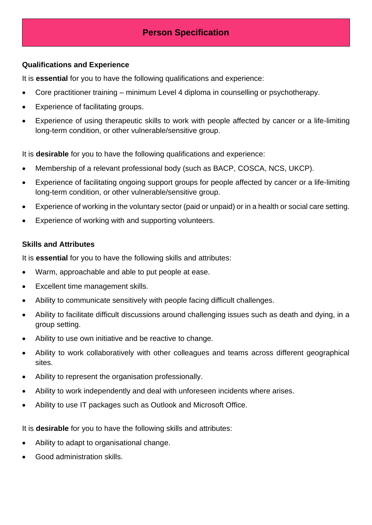# **Person Specification**

#### **Qualifications and Experience**

It is **essential** for you to have the following qualifications and experience:

- Core practitioner training minimum Level 4 diploma in counselling or psychotherapy.
- Experience of facilitating groups.
- Experience of using therapeutic skills to work with people affected by cancer or a life-limiting long-term condition, or other vulnerable/sensitive group.

It is **desirable** for you to have the following qualifications and experience:

- Membership of a relevant professional body (such as BACP, COSCA, NCS, UKCP).
- Experience of facilitating ongoing support groups for people affected by cancer or a life-limiting long-term condition, or other vulnerable/sensitive group.
- Experience of working in the voluntary sector (paid or unpaid) or in a health or social care setting.
- Experience of working with and supporting volunteers.

### **Skills and Attributes**

It is **essential** for you to have the following skills and attributes:

- Warm, approachable and able to put people at ease.
- Excellent time management skills.
- Ability to communicate sensitively with people facing difficult challenges.
- Ability to facilitate difficult discussions around challenging issues such as death and dying, in a group setting.
- Ability to use own initiative and be reactive to change.
- Ability to work collaboratively with other colleagues and teams across different geographical sites.
- Ability to represent the organisation professionally.
- Ability to work independently and deal with unforeseen incidents where arises.
- Ability to use IT packages such as Outlook and Microsoft Office.

It is **desirable** for you to have the following skills and attributes:

- Ability to adapt to organisational change.
- Good administration skills.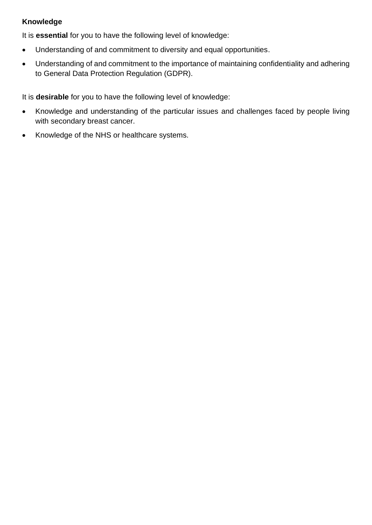## **Knowledge**

It is **essential** for you to have the following level of knowledge:

- Understanding of and commitment to diversity and equal opportunities.
- Understanding of and commitment to the importance of maintaining confidentiality and adhering to General Data Protection Regulation (GDPR).

It is **desirable** for you to have the following level of knowledge:

- Knowledge and understanding of the particular issues and challenges faced by people living with secondary breast cancer.
- Knowledge of the NHS or healthcare systems.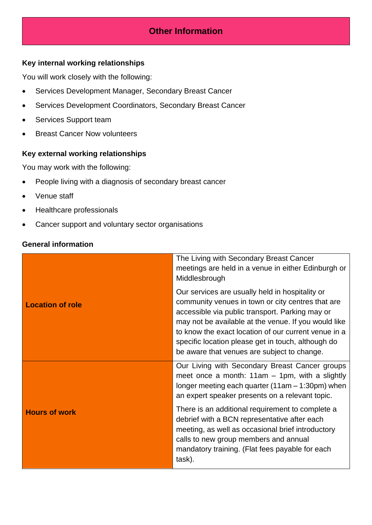# **Other Information**

### **Key internal working relationships**

You will work closely with the following:

- Services Development Manager, Secondary Breast Cancer
- Services Development Coordinators, Secondary Breast Cancer
- Services Support team
- Breast Cancer Now volunteers

#### **Key external working relationships**

You may work with the following:

- People living with a diagnosis of secondary breast cancer
- Venue staff
- Healthcare professionals
- Cancer support and voluntary sector organisations

### **General information**

|                         | The Living with Secondary Breast Cancer<br>meetings are held in a venue in either Edinburgh or<br>Middlesbrough                                                                                                                                                                                                                                                              |
|-------------------------|------------------------------------------------------------------------------------------------------------------------------------------------------------------------------------------------------------------------------------------------------------------------------------------------------------------------------------------------------------------------------|
| <b>Location of role</b> | Our services are usually held in hospitality or<br>community venues in town or city centres that are<br>accessible via public transport. Parking may or<br>may not be available at the venue. If you would like<br>to know the exact location of our current venue in a<br>specific location please get in touch, although do<br>be aware that venues are subject to change. |
|                         | Our Living with Secondary Breast Cancer groups<br>meet once a month: $11am - 1pm$ , with a slightly<br>longer meeting each quarter $(11am - 1:30pm)$ when<br>an expert speaker presents on a relevant topic.                                                                                                                                                                 |
| <b>Hours of work</b>    | There is an additional requirement to complete a<br>debrief with a BCN representative after each<br>meeting, as well as occasional brief introductory<br>calls to new group members and annual<br>mandatory training. (Flat fees payable for each<br>task).                                                                                                                  |